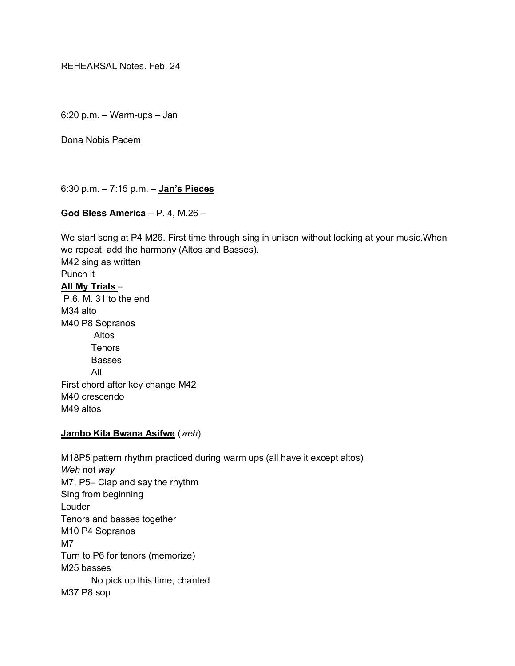REHEARSAL Notes. Feb. 24

6:20 p.m. – Warm-ups – Jan

Dona Nobis Pacem

6:30 p.m. – 7:15 p.m. – **Jan's Pieces**

# **God Bless America** – P. 4, M.26 –

We start song at P4 M26. First time through sing in unison without looking at your music.When we repeat, add the harmony (Altos and Basses). M42 sing as written Punch it **All My Trials** – P.6, M. 31 to the end M34 alto M40 P8 Sopranos Altos **Tenors Basses** All First chord after key change M42 M40 crescendo M49 altos

# **Jambo Kila Bwana Asifwe** (*weh*)

M18P5 pattern rhythm practiced during warm ups (all have it except altos) *Weh* not *way* M7, P5– Clap and say the rhythm Sing from beginning Louder Tenors and basses together M10 P4 Sopranos M7 Turn to P6 for tenors (memorize) M25 basses No pick up this time, chanted M37 P8 sop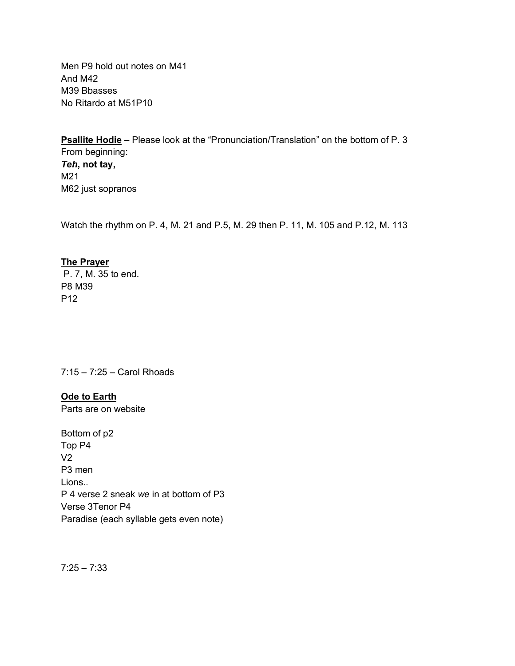Men P9 hold out notes on M41 And M42 M39 Bbasses No Ritardo at M51P10

**Psallite Hodie** – Please look at the "Pronunciation/Translation" on the bottom of P. 3 From beginning: *Teh***, not tay,**  M21 M62 just sopranos

Watch the rhythm on P. 4, M. 21 and P.5, M. 29 then P. 11, M. 105 and P.12, M. 113

# **The Prayer**

P. 7, M. 35 to end. P8 M39 P12

7:15 – 7:25 – Carol Rhoads

**Ode to Earth** Parts are on website

Bottom of p2 Top P4 V2 P3 men Lions.. P 4 verse 2 sneak *we* in at bottom of P3 Verse 3Tenor P4 Paradise (each syllable gets even note)

 $7:25 - 7:33$